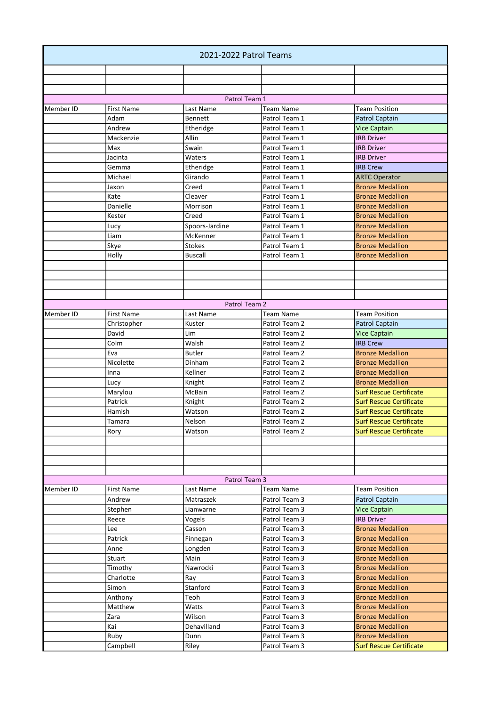| 2021-2022 Patrol Teams |                   |                      |                                |                                                    |
|------------------------|-------------------|----------------------|--------------------------------|----------------------------------------------------|
|                        |                   |                      |                                |                                                    |
|                        |                   |                      |                                |                                                    |
|                        |                   |                      |                                |                                                    |
|                        |                   | Patrol Team 1        |                                |                                                    |
| Member ID              | <b>First Name</b> | Last Name            | <b>Team Name</b>               | <b>Team Position</b>                               |
|                        | Adam              | <b>Bennett</b>       | Patrol Team 1                  | Patrol Captain                                     |
|                        | Andrew            | Etheridge            | Patrol Team 1                  | <b>Vice Captain</b>                                |
|                        | Mackenzie         | Allin                | Patrol Team 1                  | <b>IRB Driver</b>                                  |
|                        | Max               | Swain                | Patrol Team 1                  | <b>IRB Driver</b><br><b>IRB Driver</b>             |
|                        | Jacinta           | Waters               | Patrol Team 1                  |                                                    |
|                        | Gemma<br>Michael  | Etheridge<br>Girando | Patrol Team 1<br>Patrol Team 1 | <b>IRB Crew</b>                                    |
|                        |                   |                      | Patrol Team 1                  | <b>ARTC Operator</b>                               |
|                        | Jaxon             | Creed<br>Cleaver     | Patrol Team 1                  | <b>Bronze Medallion</b><br><b>Bronze Medallion</b> |
|                        | Kate<br>Danielle  | Morrison             | Patrol Team 1                  | <b>Bronze Medallion</b>                            |
|                        | Kester            | Creed                | Patrol Team 1                  | <b>Bronze Medallion</b>                            |
|                        |                   | Spoors-Jardine       | Patrol Team 1                  | <b>Bronze Medallion</b>                            |
|                        | Lucy<br>Liam      | McKenner             | Patrol Team 1                  | <b>Bronze Medallion</b>                            |
|                        | Skye              | <b>Stokes</b>        | Patrol Team 1                  | <b>Bronze Medallion</b>                            |
|                        | Holly             | Buscall              | Patrol Team 1                  | <b>Bronze Medallion</b>                            |
|                        |                   |                      |                                |                                                    |
|                        |                   |                      |                                |                                                    |
|                        |                   |                      |                                |                                                    |
|                        |                   |                      |                                |                                                    |
|                        |                   | Patrol Team 2        |                                |                                                    |
| Member ID              | <b>First Name</b> | Last Name            | <b>Team Name</b>               | <b>Team Position</b>                               |
|                        | Christopher       | Kuster               | Patrol Team 2                  | <b>Patrol Captain</b>                              |
|                        | David             | Lim                  | Patrol Team 2                  | <b>Vice Captain</b>                                |
|                        | Colm              | Walsh                | Patrol Team 2                  | <b>IRB Crew</b>                                    |
|                        | Eva               | Butler               | Patrol Team 2                  | <b>Bronze Medallion</b>                            |
|                        | Nicolette         | Dinham               | Patrol Team 2                  | <b>Bronze Medallion</b>                            |
|                        | Inna              | Kellner              | Patrol Team 2                  | <b>Bronze Medallion</b>                            |
|                        | Lucy              | Knight               | Patrol Team 2                  | <b>Bronze Medallion</b>                            |
|                        | Marylou           | McBain               | Patrol Team 2                  | <b>Surf Rescue Certificate</b>                     |
|                        | Patrick           | Knight               | Patrol Team 2                  | <b>Surf Rescue Certificate</b>                     |
|                        | Hamish            | Watson               | Patrol Team 2                  | <b>Surf Rescue Certificate</b>                     |
|                        | Tamara            | Nelson               | Patrol Team 2                  | <b>Surf Rescue Certificate</b>                     |
|                        | Rory              | Watson               | Patrol Team 2                  | <b>Surf Rescue Certificate</b>                     |
|                        |                   |                      |                                |                                                    |
|                        |                   |                      |                                |                                                    |
|                        |                   |                      |                                |                                                    |
|                        |                   |                      |                                |                                                    |
|                        |                   | Patrol Team 3        |                                |                                                    |
| Member ID              | <b>First Name</b> | Last Name            | <b>Team Name</b>               | <b>Team Position</b>                               |
|                        | Andrew            | Matraszek            | Patrol Team 3                  | <b>Patrol Captain</b>                              |
|                        | Stephen           | Lianwarne            | Patrol Team 3                  | <b>Vice Captain</b>                                |
|                        | Reece             | Vogels               | Patrol Team 3                  | <b>IRB Driver</b>                                  |
|                        | Lee               | Casson               | Patrol Team 3                  | <b>Bronze Medallion</b>                            |
|                        | Patrick           | Finnegan             | Patrol Team 3                  | <b>Bronze Medallion</b>                            |
|                        | Anne              | Longden              | Patrol Team 3                  | <b>Bronze Medallion</b>                            |
|                        | Stuart            | Main                 | Patrol Team 3                  | <b>Bronze Medallion</b>                            |
|                        | Timothy           | Nawrocki             | Patrol Team 3                  | <b>Bronze Medallion</b>                            |
|                        | Charlotte         | Ray                  | Patrol Team 3                  | <b>Bronze Medallion</b>                            |
|                        | Simon             | Stanford             | Patrol Team 3                  | <b>Bronze Medallion</b>                            |
|                        | Anthony           | Teoh                 | Patrol Team 3                  | <b>Bronze Medallion</b>                            |
|                        | Matthew           | Watts                | Patrol Team 3                  | <b>Bronze Medallion</b>                            |
|                        | Zara              | Wilson               | Patrol Team 3                  | <b>Bronze Medallion</b>                            |
|                        | Kai               | Dehavilland          | Patrol Team 3                  | <b>Bronze Medallion</b>                            |
|                        | Ruby              | Dunn                 | Patrol Team 3                  | <b>Bronze Medallion</b>                            |
|                        | Campbell          | Riley                | Patrol Team 3                  | <b>Surf Rescue Certificate</b>                     |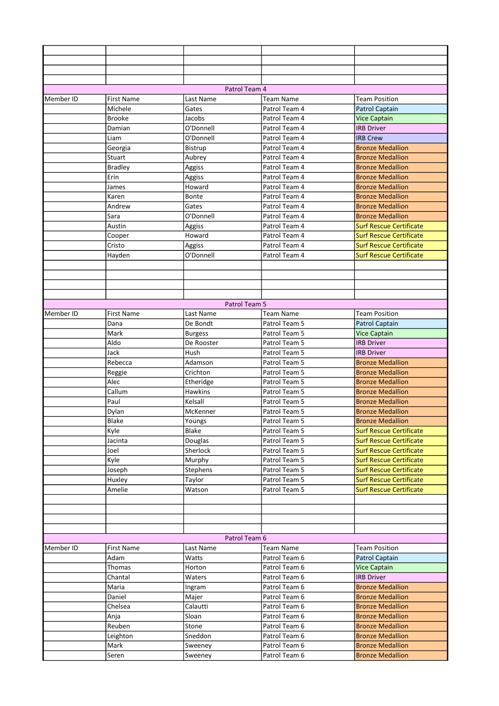|           |                   | Patrol Team 4      |                                |                                |
|-----------|-------------------|--------------------|--------------------------------|--------------------------------|
| Member ID | <b>First Name</b> | Last Name          | <b>Team Name</b>               | <b>Team Position</b>           |
|           | Michele           | Gates              | Patrol Team 4                  | Patrol Captain                 |
|           | <b>Brooke</b>     | Jacobs             | Patrol Team 4                  | <b>Vice Captain</b>            |
|           | Damian            | O'Donnell          | Patrol Team 4                  | <b>IRB Driver</b>              |
|           | Liam              | O'Donnell          | Patrol Team 4                  | <b>IRB Crew</b>                |
|           | Georgia           | Bistrup            | Patrol Team 4                  | <b>Bronze Medallion</b>        |
|           | Stuart            | Aubrey             | Patrol Team 4                  | <b>Bronze Medallion</b>        |
|           | <b>Bradley</b>    | Aggiss             | Patrol Team 4                  | <b>Bronze Medallion</b>        |
|           | Erin              | Aggiss             | Patrol Team 4                  | <b>Bronze Medallion</b>        |
|           | James             | Howard             | Patrol Team 4                  | <b>Bronze Medallion</b>        |
|           | Karen             | Bonte              | Patrol Team 4                  | <b>Bronze Medallion</b>        |
|           | Andrew            | Gates              | Patrol Team 4                  | <b>Bronze Medallion</b>        |
|           | Sara              | O'Donnell          | Patrol Team 4                  | <b>Bronze Medallion</b>        |
|           | Austin            | Aggiss             | Patrol Team 4                  | <b>Surf Rescue Certificate</b> |
|           | Cooper            | Howard             | Patrol Team 4                  | <b>Surf Rescue Certificate</b> |
|           | Cristo            | Aggiss             | Patrol Team 4                  | <b>Surf Rescue Certificate</b> |
|           | Hayden            | O'Donnell          | Patrol Team 4                  | <b>Surf Rescue Certificate</b> |
|           |                   |                    |                                |                                |
|           |                   |                    |                                |                                |
|           |                   |                    |                                |                                |
|           |                   |                    |                                |                                |
|           |                   | Patrol Team 5      |                                |                                |
| Member ID | <b>First Name</b> | Last Name          | <b>Team Name</b>               | <b>Team Position</b>           |
|           | Dana              | De Bondt           | Patrol Team 5                  | <b>Patrol Captain</b>          |
|           | Mark              | <b>Burgess</b>     | Patrol Team 5                  | <b>Vice Captain</b>            |
|           | Aldo              | De Rooster         | Patrol Team 5                  | <b>IRB Driver</b>              |
|           | Jack              | Hush               | Patrol Team 5                  | <b>IRB Driver</b>              |
|           | Rebecca           | Adamson            | Patrol Team 5                  | <b>Bronze Medallion</b>        |
|           | Reggie            | Crichton           | Patrol Team 5                  | <b>Bronze Medallion</b>        |
|           | Alec              | Etheridge          | Patrol Team 5                  | <b>Bronze Medallion</b>        |
|           | Callum            | Hawkins            | Patrol Team 5                  | <b>Bronze Medallion</b>        |
|           | Paul              | Kelsall            | Patrol Team 5                  | <b>Bronze Medallion</b>        |
|           | Dylan             | McKenner           | Patrol Team 5                  | <b>Bronze Medallion</b>        |
|           | Blake             | Youngs             | Patrol Team 5                  | <b>Bronze Medallion</b>        |
|           | Kyle              | Blake              | Patrol Team 5                  | <b>Surf Rescue Certificate</b> |
|           | Jacinta           | Douglas            | Patrol Team 5                  | <b>Surf Rescue Certificate</b> |
|           | Joel              | Sherlock           | Patrol Team 5                  | <b>Surf Rescue Certificate</b> |
|           |                   |                    |                                | <b>Surf Rescue Certificate</b> |
|           | Kyle              | Murphy<br>Stephens | Patrol Team 5                  | <b>Surf Rescue Certificate</b> |
|           | Joseph            |                    | Patrol Team 5                  | <b>Surf Rescue Certificate</b> |
|           | Huxley            | Taylor             | Patrol Team 5<br>Patrol Team 5 |                                |
|           | Amelie            | Watson             |                                | <b>Surf Rescue Certificate</b> |
|           |                   |                    |                                |                                |
|           |                   |                    |                                |                                |
|           |                   |                    |                                |                                |
|           |                   |                    |                                |                                |
|           |                   | Patrol Team 6      |                                |                                |
| Member ID | <b>First Name</b> | Last Name          | <b>Team Name</b>               | <b>Team Position</b>           |
|           | Adam              | Watts              | Patrol Team 6                  | Patrol Captain                 |
|           | Thomas            | Horton             | Patrol Team 6                  | <b>Vice Captain</b>            |
|           | Chantal           | Waters             | Patrol Team 6                  | <b>IRB Driver</b>              |
|           | Maria             | Ingram             | Patrol Team 6                  | <b>Bronze Medallion</b>        |
|           | Daniel            | Majer              | Patrol Team 6                  | <b>Bronze Medallion</b>        |
|           | Chelsea           | Calautti           | Patrol Team 6                  | <b>Bronze Medallion</b>        |
|           | Anja              | Sloan              | Patrol Team 6                  | <b>Bronze Medallion</b>        |
|           | Reuben            | Stone              | Patrol Team 6                  | <b>Bronze Medallion</b>        |
|           | Leighton          | Sneddon            | Patrol Team 6                  | <b>Bronze Medallion</b>        |
|           | Mark              | Sweeney            | Patrol Team 6                  | <b>Bronze Medallion</b>        |
|           | Seren             | Sweeney            | Patrol Team 6                  | <b>Bronze Medallion</b>        |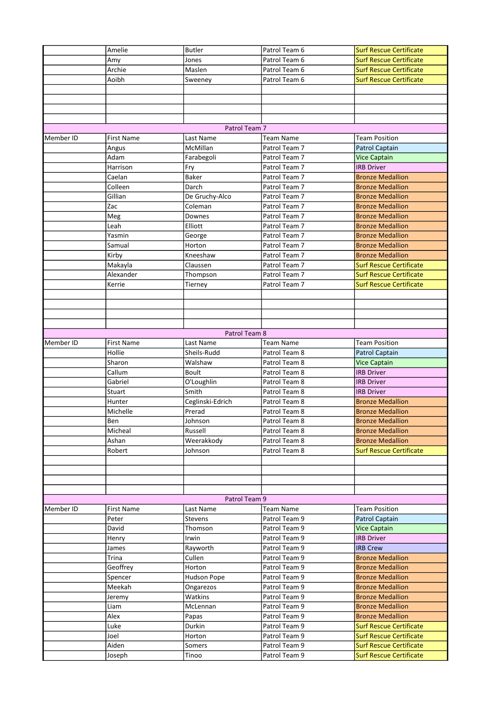|           | Amelie            | <b>Butler</b>    | Patrol Team 6    | <b>Surf Rescue Certificate</b> |
|-----------|-------------------|------------------|------------------|--------------------------------|
|           | Amy               | Jones            | Patrol Team 6    | <b>Surf Rescue Certificate</b> |
|           | Archie            | Maslen           | Patrol Team 6    | <b>Surf Rescue Certificate</b> |
|           | Aoibh             | Sweeney          | Patrol Team 6    | <b>Surf Rescue Certificate</b> |
|           |                   |                  |                  |                                |
|           |                   |                  |                  |                                |
|           |                   |                  |                  |                                |
|           |                   |                  |                  |                                |
|           |                   | Patrol Team 7    |                  |                                |
| Member ID | <b>First Name</b> | Last Name        | <b>Team Name</b> | <b>Team Position</b>           |
|           | Angus             | McMillan         | Patrol Team 7    | Patrol Captain                 |
|           | Adam              | Farabegoli       | Patrol Team 7    | <b>Vice Captain</b>            |
|           | Harrison          | Fry              | Patrol Team 7    | <b>IRB Driver</b>              |
|           | Caelan            | Baker            | Patrol Team 7    | <b>Bronze Medallion</b>        |
|           | Colleen           | Darch            | Patrol Team 7    | <b>Bronze Medallion</b>        |
|           | Gillian           | De Gruchy-Alco   | Patrol Team 7    | <b>Bronze Medallion</b>        |
|           | Zac               | Coleman          | Patrol Team 7    | <b>Bronze Medallion</b>        |
|           | Meg               | Downes           | Patrol Team 7    | <b>Bronze Medallion</b>        |
|           | Leah              | Elliott          | Patrol Team 7    | <b>Bronze Medallion</b>        |
|           | Yasmin            | George           | Patrol Team 7    | <b>Bronze Medallion</b>        |
|           | Samual            | Horton           | Patrol Team 7    | <b>Bronze Medallion</b>        |
|           | Kirby             | Kneeshaw         | Patrol Team 7    | <b>Bronze Medallion</b>        |
|           | Makayla           | Claussen         | Patrol Team 7    | <b>Surf Rescue Certificate</b> |
|           | Alexander         | Thompson         | Patrol Team 7    | <b>Surf Rescue Certificate</b> |
|           | Kerrie            | Tierney          | Patrol Team 7    | <b>Surf Rescue Certificate</b> |
|           |                   |                  |                  |                                |
|           |                   |                  |                  |                                |
|           |                   |                  |                  |                                |
|           |                   | Patrol Team 8    |                  |                                |
| Member ID | <b>First Name</b> | Last Name        | <b>Team Name</b> | <b>Team Position</b>           |
|           | Hollie            | Sheils-Rudd      | Patrol Team 8    | Patrol Captain                 |
|           | Sharon            | Walshaw          | Patrol Team 8    | <b>Vice Captain</b>            |
|           | Callum            | <b>Boult</b>     | Patrol Team 8    | <b>IRB Driver</b>              |
|           | Gabriel           | O'Loughlin       | Patrol Team 8    | <b>IRB Driver</b>              |
|           | Stuart            | Smith            | Patrol Team 8    | <b>IRB Driver</b>              |
|           | Hunter            | Ceglinski-Edrich | Patrol Team 8    | <b>Bronze Medallion</b>        |
|           | Michelle          | Prerad           | Patrol Team 8    | <b>Bronze Medallion</b>        |
|           | Ben               | Johnson          | Patrol Team 8    | <b>Bronze Medallion</b>        |
|           | Micheal           | Russell          | Patrol Team 8    | <b>Bronze Medallion</b>        |
|           | Ashan             | Weerakkody       | Patrol Team 8    | <b>Bronze Medallion</b>        |
|           | Robert            | Johnson          | Patrol Team 8    | <b>Surf Rescue Certificate</b> |
|           |                   |                  |                  |                                |
|           |                   |                  |                  |                                |
|           |                   |                  |                  |                                |
|           |                   |                  |                  |                                |
|           |                   | Patrol Team 9    |                  |                                |
| Member ID | <b>First Name</b> | Last Name        | <b>Team Name</b> | <b>Team Position</b>           |
|           | Peter             | Stevens          | Patrol Team 9    | Patrol Captain                 |
|           | David             | Thomson          | Patrol Team 9    | <b>Vice Captain</b>            |
|           | Henry             | Irwin            | Patrol Team 9    | <b>IRB Driver</b>              |
|           | James             | Rayworth         | Patrol Team 9    | <b>IRB Crew</b>                |
|           | Trina             | Cullen           | Patrol Team 9    | <b>Bronze Medallion</b>        |
|           | Geoffrey          | Horton           | Patrol Team 9    | <b>Bronze Medallion</b>        |
|           | Spencer           | Hudson Pope      | Patrol Team 9    | <b>Bronze Medallion</b>        |
|           | Meekah            | Ongarezos        | Patrol Team 9    | <b>Bronze Medallion</b>        |
|           | Jeremy            | Watkins          | Patrol Team 9    | <b>Bronze Medallion</b>        |
|           | Liam              | McLennan         | Patrol Team 9    | <b>Bronze Medallion</b>        |
|           | Alex              | Papas            | Patrol Team 9    | <b>Bronze Medallion</b>        |
|           | Luke              | Durkin           | Patrol Team 9    | <b>Surf Rescue Certificate</b> |
|           | Joel              | Horton           | Patrol Team 9    | <b>Surf Rescue Certificate</b> |
|           | Aiden             | Somers           | Patrol Team 9    | <b>Surf Rescue Certificate</b> |
|           | Joseph            | Tinoo            | Patrol Team 9    | <b>Surf Rescue Certificate</b> |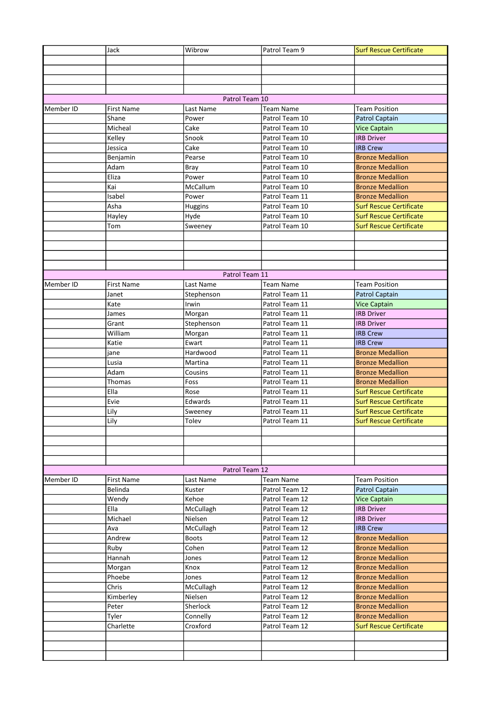|           | Jack              | Wibrow         | Patrol Team 9    | <b>Surf Rescue Certificate</b> |
|-----------|-------------------|----------------|------------------|--------------------------------|
|           |                   |                |                  |                                |
|           |                   |                |                  |                                |
|           |                   |                |                  |                                |
|           |                   |                |                  |                                |
|           |                   | Patrol Team 10 |                  |                                |
| Member ID | <b>First Name</b> | Last Name      | <b>Team Name</b> | <b>Team Position</b>           |
|           | Shane             | Power          | Patrol Team 10   | <b>Patrol Captain</b>          |
|           | Micheal           | Cake           | Patrol Team 10   | <b>Vice Captain</b>            |
|           | Kelley            | Snook          | Patrol Team 10   | <b>IRB Driver</b>              |
|           | Jessica           | Cake           | Patrol Team 10   | <b>IRB Crew</b>                |
|           | Benjamin          | Pearse         | Patrol Team 10   | <b>Bronze Medallion</b>        |
|           | Adam              | <b>Bray</b>    | Patrol Team 10   | <b>Bronze Medallion</b>        |
|           | Eliza             | Power          | Patrol Team 10   | <b>Bronze Medallion</b>        |
|           | Kai               | McCallum       | Patrol Team 10   | <b>Bronze Medallion</b>        |
|           | Isabel            | Power          | Patrol Team 11   | <b>Bronze Medallion</b>        |
|           | Asha              | Huggins        | Patrol Team 10   | <b>Surf Rescue Certificate</b> |
|           | Hayley            | Hyde           | Patrol Team 10   | <b>Surf Rescue Certificate</b> |
|           | Tom               | Sweeney        | Patrol Team 10   | <b>Surf Rescue Certificate</b> |
|           |                   |                |                  |                                |
|           |                   |                |                  |                                |
|           |                   |                |                  |                                |
|           |                   |                |                  |                                |
|           |                   | Patrol Team 11 |                  |                                |
| Member ID | <b>First Name</b> | Last Name      | <b>Team Name</b> | <b>Team Position</b>           |
|           | Janet             | Stephenson     | Patrol Team 11   | <b>Patrol Captain</b>          |
|           | Kate              | Irwin          | Patrol Team 11   | <b>Vice Captain</b>            |
|           | James             | Morgan         | Patrol Team 11   | <b>IRB Driver</b>              |
|           | Grant             | Stephenson     | Patrol Team 11   | <b>IRB Driver</b>              |
|           | William           | Morgan         | Patrol Team 11   | <b>IRB Crew</b>                |
|           | Katie             | Ewart          | Patrol Team 11   | <b>IRB Crew</b>                |
|           | jane              | Hardwood       | Patrol Team 11   | <b>Bronze Medallion</b>        |
|           | Lusia             | Martina        | Patrol Team 11   | <b>Bronze Medallion</b>        |
|           | Adam              | Cousins        | Patrol Team 11   | <b>Bronze Medallion</b>        |
|           | Thomas            | Foss           | Patrol Team 11   | <b>Bronze Medallion</b>        |
|           | Ella              | Rose           | Patrol Team 11   | <b>Surf Rescue Certificate</b> |
|           | Evie              | Edwards        | Patrol Team 11   | <b>Surf Rescue Certificate</b> |
|           | Lily              | Sweeney        | Patrol Team 11   | <b>Surf Rescue Certificate</b> |
|           | Lily              | Tolev          | Patrol Team 11   | <b>Surf Rescue Certificate</b> |
|           |                   |                |                  |                                |
|           |                   |                |                  |                                |
|           |                   |                |                  |                                |
|           |                   |                |                  |                                |
|           |                   | Patrol Team 12 |                  |                                |
| Member ID | <b>First Name</b> | Last Name      | <b>Team Name</b> | <b>Team Position</b>           |
|           | Belinda           | Kuster         | Patrol Team 12   | Patrol Captain                 |
|           | Wendy             | Kehoe          | Patrol Team 12   | <b>Vice Captain</b>            |
|           | Ella              | McCullagh      | Patrol Team 12   | <b>IRB Driver</b>              |
|           | Michael           | Nielsen        | Patrol Team 12   | <b>IRB Driver</b>              |
|           | Ava               | McCullagh      | Patrol Team 12   | <b>IRB Crew</b>                |
|           | Andrew            | <b>Boots</b>   | Patrol Team 12   | <b>Bronze Medallion</b>        |
|           | Ruby              | Cohen          | Patrol Team 12   | <b>Bronze Medallion</b>        |
|           | Hannah            | Jones          | Patrol Team 12   | <b>Bronze Medallion</b>        |
|           | Morgan            | Knox           | Patrol Team 12   | <b>Bronze Medallion</b>        |
|           | Phoebe            | Jones          | Patrol Team 12   | <b>Bronze Medallion</b>        |
|           | Chris             | McCullagh      | Patrol Team 12   | <b>Bronze Medallion</b>        |
|           | Kimberley         | Nielsen        | Patrol Team 12   | <b>Bronze Medallion</b>        |
|           | Peter             | Sherlock       | Patrol Team 12   | <b>Bronze Medallion</b>        |
|           | Tyler             | Connelly       | Patrol Team 12   | <b>Bronze Medallion</b>        |
|           | Charlette         | Croxford       | Patrol Team 12   | <b>Surf Rescue Certificate</b> |
|           |                   |                |                  |                                |
|           |                   |                |                  |                                |
|           |                   |                |                  |                                |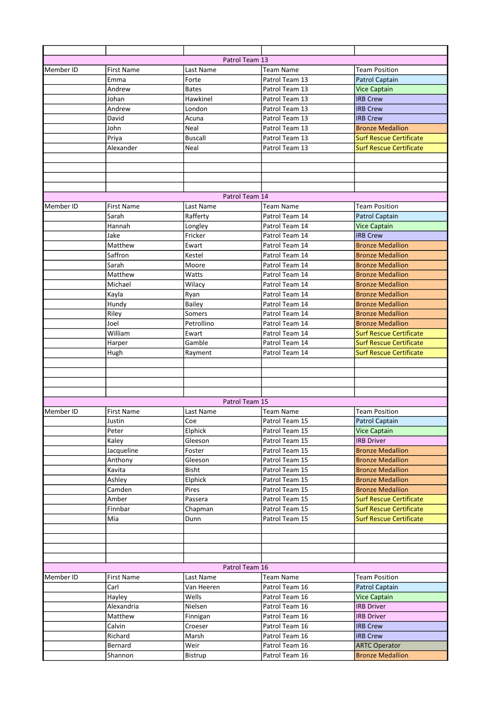|           |                   | Patrol Team 13 |                  |                                |
|-----------|-------------------|----------------|------------------|--------------------------------|
| Member ID | <b>First Name</b> | Last Name      | Team Name        | <b>Team Position</b>           |
|           | Emma              | Forte          | Patrol Team 13   | <b>Patrol Captain</b>          |
|           | Andrew            | <b>Bates</b>   | Patrol Team 13   | <b>Vice Captain</b>            |
|           | Johan             | Hawkinel       | Patrol Team 13   | <b>IRB Crew</b>                |
|           | Andrew            | London         | Patrol Team 13   |                                |
|           |                   |                |                  | <b>IRB Crew</b>                |
|           | David             | Acuna          | Patrol Team 13   | <b>IRB Crew</b>                |
|           | John              | Neal           | Patrol Team 13   | <b>Bronze Medallion</b>        |
|           | Priya             | <b>Buscall</b> | Patrol Team 13   | <b>Surf Rescue Certificate</b> |
|           | Alexander         | Neal           | Patrol Team 13   | <b>Surf Rescue Certificate</b> |
|           |                   |                |                  |                                |
|           |                   |                |                  |                                |
|           |                   |                |                  |                                |
|           |                   |                |                  |                                |
|           |                   | Patrol Team 14 |                  |                                |
| Member ID | <b>First Name</b> | Last Name      | <b>Team Name</b> | <b>Team Position</b>           |
|           | Sarah             | Rafferty       | Patrol Team 14   | <b>Patrol Captain</b>          |
|           | Hannah            | Longley        | Patrol Team 14   | <b>Vice Captain</b>            |
|           | Jake              | Fricker        | Patrol Team 14   | <b>IRB Crew</b>                |
|           | Matthew           | Ewart          | Patrol Team 14   | <b>Bronze Medallion</b>        |
|           | Saffron           | Kestel         | Patrol Team 14   | <b>Bronze Medallion</b>        |
|           | Sarah             | Moore          | Patrol Team 14   | <b>Bronze Medallion</b>        |
|           | Matthew           | Watts          | Patrol Team 14   | <b>Bronze Medallion</b>        |
|           | Michael           | Wilacy         | Patrol Team 14   | <b>Bronze Medallion</b>        |
|           | Kayla             | Ryan           | Patrol Team 14   | <b>Bronze Medallion</b>        |
|           | Hundy             | <b>Bailey</b>  | Patrol Team 14   | <b>Bronze Medallion</b>        |
|           | Riley             | Somers         | Patrol Team 14   | <b>Bronze Medallion</b>        |
|           | Joel              | Petrollino     | Patrol Team 14   | <b>Bronze Medallion</b>        |
|           | William           | Ewart          | Patrol Team 14   | <b>Surf Rescue Certificate</b> |
|           | Harper            | Gamble         | Patrol Team 14   | <b>Surf Rescue Certificate</b> |
|           | Hugh              | Rayment        | Patrol Team 14   | <b>Surf Rescue Certificate</b> |
|           |                   |                |                  |                                |
|           |                   |                |                  |                                |
|           |                   |                |                  |                                |
|           |                   |                |                  |                                |
|           |                   | Patrol Team 15 |                  |                                |
| Member ID | <b>First Name</b> | Last Name      | Team Name        | <b>Team Position</b>           |
|           | Justin            | Coe            | Patrol Team 15   | <b>Patrol Captain</b>          |
|           | Peter             | Elphick        | Patrol Team 15   | <b>Vice Captain</b>            |
|           | Kaley             | Gleeson        | Patrol Team 15   | <b>IRB Driver</b>              |
|           |                   |                |                  | <b>Bronze Medallion</b>        |
|           | Jacqueline        | Foster         | Patrol Team 15   |                                |
|           | Anthony           | Gleeson        | Patrol Team 15   | <b>Bronze Medallion</b>        |
|           | Kavita            | <b>Bisht</b>   | Patrol Team 15   | <b>Bronze Medallion</b>        |
|           | Ashley            | Elphick        | Patrol Team 15   | <b>Bronze Medallion</b>        |
|           | Camden            | Pires          | Patrol Team 15   | <b>Bronze Medallion</b>        |
|           | Amber             | Passera        | Patrol Team 15   | <b>Surf Rescue Certificate</b> |
|           | Finnbar           | Chapman        | Patrol Team 15   | <b>Surf Rescue Certificate</b> |
|           | Mia               | Dunn           | Patrol Team 15   | <b>Surf Rescue Certificate</b> |
|           |                   |                |                  |                                |
|           |                   |                |                  |                                |
|           |                   |                |                  |                                |
|           |                   |                |                  |                                |
|           |                   | Patrol Team 16 |                  |                                |
| Member ID | First Name        | Last Name      | Team Name        | <b>Team Position</b>           |
|           | Carl              | Van Heeren     | Patrol Team 16   | Patrol Captain                 |
|           | Hayley            | Wells          | Patrol Team 16   | <b>Vice Captain</b>            |
|           | Alexandria        | Nielsen        | Patrol Team 16   | <b>IRB Driver</b>              |
|           | Matthew           | Finnigan       | Patrol Team 16   | <b>IRB Driver</b>              |
|           | Calvin            | Croeser        | Patrol Team 16   | <b>IRB Crew</b>                |
|           | Richard           | Marsh          | Patrol Team 16   | <b>IRB Crew</b>                |
|           | Bernard           | Weir           | Patrol Team 16   | <b>ARTC Operator</b>           |
|           | Shannon           | Bistrup        | Patrol Team 16   | <b>Bronze Medallion</b>        |
|           |                   |                |                  |                                |